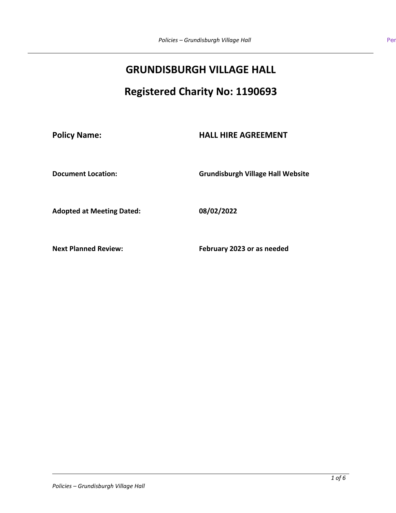# **GRUNDISBURGH VILLAGE HALL**

# **Registered Charity No: 1190693**

**Policy Name: HALL HIRE AGREEMENT**

**Document Location: Grundisburgh Village Hall Website**

**Adopted at Meeting Dated: 08/02/2022**

**Next Planned Review: February 2023 or as needed**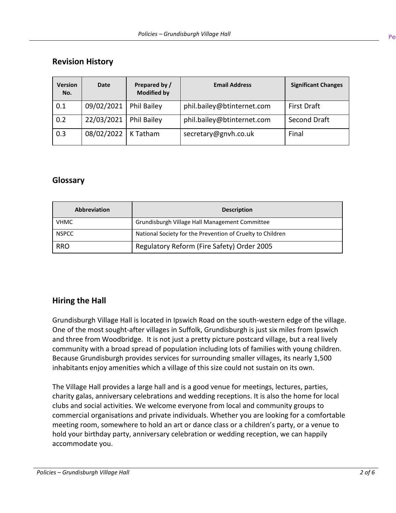# **Revision History**

| <b>Version</b><br>No. | <b>Date</b> | Prepared by /<br><b>Modified by</b> | <b>Email Address</b>       | <b>Significant Changes</b> |
|-----------------------|-------------|-------------------------------------|----------------------------|----------------------------|
| 0.1                   | 09/02/2021  | <b>Phil Bailey</b>                  | phil.bailey@btinternet.com | <b>First Draft</b>         |
| 0.2                   | 22/03/2021  | Phil Bailey                         | phil.bailey@btinternet.com | Second Draft               |
| 0.3                   | 08/02/2022  | K Tatham                            | secretary@gnvh.co.uk       | Final                      |

# **Glossary**

| <b>Abbreviation</b> | <b>Description</b>                                         |
|---------------------|------------------------------------------------------------|
| <b>VHMC</b>         | Grundisburgh Village Hall Management Committee             |
| <b>NSPCC</b>        | National Society for the Prevention of Cruelty to Children |
| <b>RRO</b>          | Regulatory Reform (Fire Safety) Order 2005                 |

# **Hiring the Hall**

Grundisburgh Village Hall is located in Ipswich Road on the south-western edge of the village. One of the most sought-after villages in Suffolk, Grundisburgh is just six miles from Ipswich and three from Woodbridge. It is not just a pretty picture postcard village, but a real lively community with a broad spread of population including lots of families with young children. Because Grundisburgh provides services for surrounding smaller villages, its nearly 1,500 inhabitants enjoy amenities which a village of this size could not sustain on its own.

The Village Hall provides a large hall and is a good venue for meetings, lectures, parties, charity galas, anniversary celebrations and wedding receptions. It is also the home for local clubs and social activities. We welcome everyone from local and community groups to commercial organisations and private individuals. Whether you are looking for a comfortable meeting room, somewhere to hold an art or dance class or a children's party, or a venue to hold your birthday party, anniversary celebration or wedding reception, we can happily accommodate you.

Pe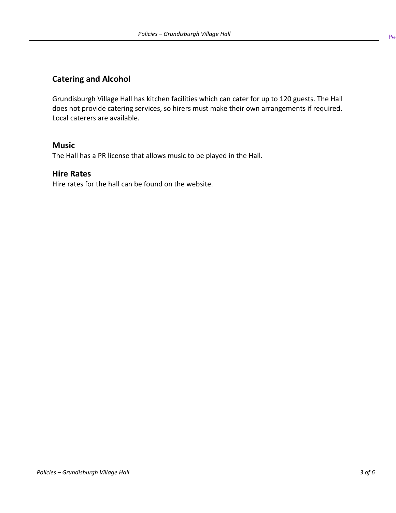# **Catering and Alcohol**

Grundisburgh Village Hall has kitchen facilities which can cater for up to 120 guests. The Hall does not provide catering services, so hirers must make their own arrangements if required. Local caterers are available.

## **Music**

The Hall has a PR license that allows music to be played in the Hall.

## **Hire Rates**

Hire rates for the hall can be found on the website.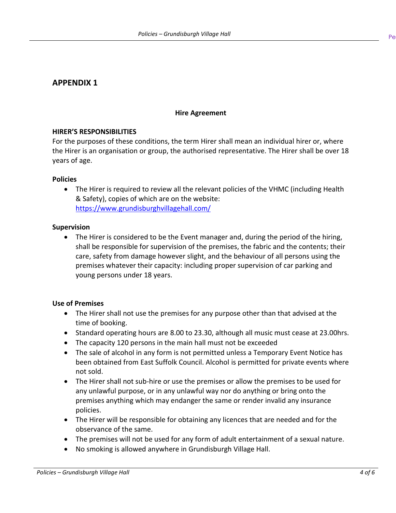# **APPENDIX 1**

#### **Hire Agreement**

#### **HIRER'S RESPONSIBILITIES**

For the purposes of these conditions, the term Hirer shall mean an individual hirer or, where the Hirer is an organisation or group, the authorised representative. The Hirer shall be over 18 years of age.

#### **Policies**

• The Hirer is required to review all the relevant policies of the VHMC (including Health & Safety), copies of which are on the website: <https://www.grundisburghvillagehall.com/>

#### **Supervision**

• The Hirer is considered to be the Event manager and, during the period of the hiring, shall be responsible for supervision of the premises, the fabric and the contents; their care, safety from damage however slight, and the behaviour of all persons using the premises whatever their capacity: including proper supervision of car parking and young persons under 18 years.

#### **Use of Premises**

- The Hirer shall not use the premises for any purpose other than that advised at the time of booking.
- Standard operating hours are 8.00 to 23.30, although all music must cease at 23.00hrs.
- The capacity 120 persons in the main hall must not be exceeded
- The sale of alcohol in any form is not permitted unless a Temporary Event Notice has been obtained from East Suffolk Council. Alcohol is permitted for private events where not sold.
- The Hirer shall not sub-hire or use the premises or allow the premises to be used for any unlawful purpose, or in any unlawful way nor do anything or bring onto the premises anything which may endanger the same or render invalid any insurance policies.
- The Hirer will be responsible for obtaining any licences that are needed and for the observance of the same.
- The premises will not be used for any form of adult entertainment of a sexual nature.
- No smoking is allowed anywhere in Grundisburgh Village Hall.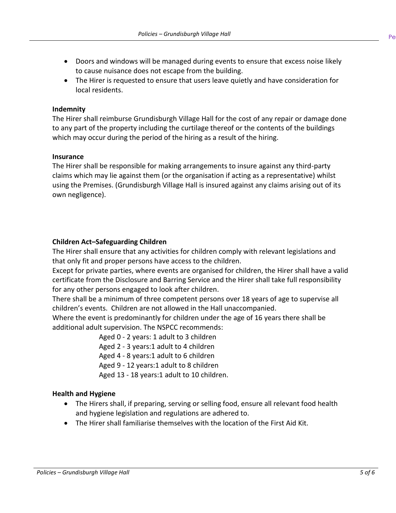- Pe
- Doors and windows will be managed during events to ensure that excess noise likely to cause nuisance does not escape from the building.
- The Hirer is requested to ensure that users leave quietly and have consideration for local residents.

### **Indemnity**

The Hirer shall reimburse Grundisburgh Village Hall for the cost of any repair or damage done to any part of the property including the curtilage thereof or the contents of the buildings which may occur during the period of the hiring as a result of the hiring.

### **Insurance**

The Hirer shall be responsible for making arrangements to insure against any third-party claims which may lie against them (or the organisation if acting as a representative) whilst using the Premises. (Grundisburgh Village Hall is insured against any claims arising out of its own negligence).

## **Children Act–Safeguarding Children**

The Hirer shall ensure that any activities for children comply with relevant legislations and that only fit and proper persons have access to the children.

Except for private parties, where events are organised for children, the Hirer shall have a valid certificate from the Disclosure and Barring Service and the Hirer shall take full responsibility for any other persons engaged to look after children.

There shall be a minimum of three competent persons over 18 years of age to supervise all children's events. Children are not allowed in the Hall unaccompanied.

Where the event is predominantly for children under the age of 16 years there shall be additional adult supervision. The NSPCC recommends:

Aged 0 - 2 years: 1 adult to 3 children

Aged 2 - 3 years:1 adult to 4 children

Aged 4 - 8 years:1 adult to 6 children

Aged 9 - 12 years:1 adult to 8 children

Aged 13 - 18 years:1 adult to 10 children.

## **Health and Hygiene**

- The Hirers shall, if preparing, serving or selling food, ensure all relevant food health and hygiene legislation and regulations are adhered to.
- The Hirer shall familiarise themselves with the location of the First Aid Kit.